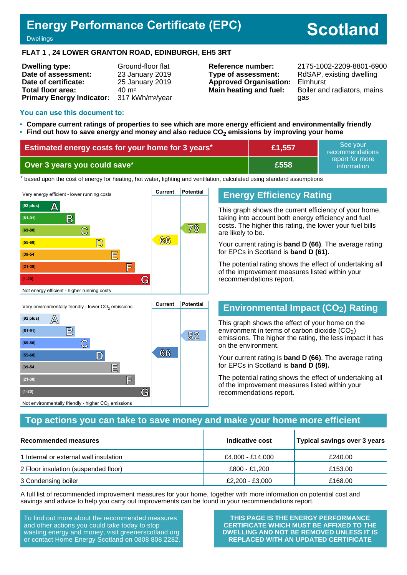# **Energy Performance Certificate (EPC)**

# **Scotland**

#### **Dwellings**

#### **FLAT 1 , 24 LOWER GRANTON ROAD, EDINBURGH, EH5 3RT**

| <b>Dwelling type:</b>            | Ground-floor flat            |
|----------------------------------|------------------------------|
| Date of assessment:              | 23 January 2019              |
| Date of certificate:             | 25 January 2019              |
| Total floor area:                | $40 \; \mathrm{m}^2$         |
| <b>Primary Energy Indicator:</b> | 317 kWh/m <sup>2</sup> /year |

**Type of assessment:** RdSAP, existing dwelling **Approved Organisation:** Elmhurst

**Reference number:** 2175-1002-2209-8801-6900 **Main heating and fuel:** Boiler and radiators, mains gas

#### **You can use this document to:**

**(39-54 E**

**(21-38) F**

Not environmentally friendly - higher  $\mathrm{CO}_2$  emissions

**(1-20) G**

- **Compare current ratings of properties to see which are more energy efficient and environmentally friendly**
- **Find out how to save energy and money and also reduce CO2 emissions by improving your home**

| <b>Estimated energy costs for your home for 3 years*</b> | £1,557 | See vour<br>recommendations    |
|----------------------------------------------------------|--------|--------------------------------|
| Over 3 years you could save*                             | £558   | report for more<br>information |

the based upon the cost of energy for heating, hot water, lighting and ventilation, calculated using standard assumptions



# **Energy Efficiency Rating**

This graph shows the current efficiency of your home, taking into account both energy efficiency and fuel costs. The higher this rating, the lower your fuel bills are likely to be.

Your current rating is **band D (66)**. The average rating for EPCs in Scotland is **band D (61).**

The potential rating shows the effect of undertaking all of the improvement measures listed within your recommendations report.

# **Environmental Impact (CO2) Rating**

This graph shows the effect of your home on the environment in terms of carbon dioxide  $(CO<sub>2</sub>)$ emissions. The higher the rating, the less impact it has on the environment.

Your current rating is **band D (66)**. The average rating for EPCs in Scotland is **band D (59).**

The potential rating shows the effect of undertaking all of the improvement measures listed within your recommendations report.

#### **Top actions you can take to save money and make your home more efficient**

| Recommended measures                   | Indicative cost  | Typical savings over 3 years |
|----------------------------------------|------------------|------------------------------|
| 1 Internal or external wall insulation | £4,000 - £14,000 | £240.00                      |
| 2 Floor insulation (suspended floor)   | £800 - £1,200    | £153.00                      |
| 3 Condensing boiler                    | £2,200 - £3,000  | £168.00                      |

A full list of recommended improvement measures for your home, together with more information on potential cost and savings and advice to help you carry out improvements can be found in your recommendations report.

To find out more about the recommended measures and other actions you could take today to stop wasting energy and money, visit greenerscotland.org or contact Home Energy Scotland on 0808 808 2282.

**THIS PAGE IS THE ENERGY PERFORMANCE CERTIFICATE WHICH MUST BE AFFIXED TO THE DWELLING AND NOT BE REMOVED UNLESS IT IS REPLACED WITH AN UPDATED CERTIFICATE**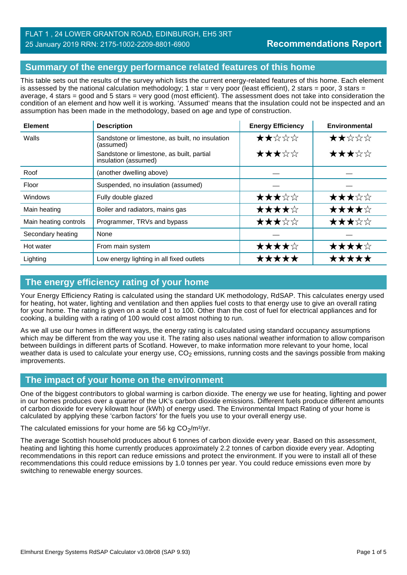#### FLAT 1 , 24 LOWER GRANTON ROAD, EDINBURGH, EH5 3RT 25 January 2019 RRN: 2175-1002-2209-8801-6900

# **Summary of the energy performance related features of this home**

This table sets out the results of the survey which lists the current energy-related features of this home. Each element is assessed by the national calculation methodology; 1 star = very poor (least efficient), 2 stars = poor, 3 stars = average, 4 stars = good and 5 stars = very good (most efficient). The assessment does not take into consideration the condition of an element and how well it is working. 'Assumed' means that the insulation could not be inspected and an assumption has been made in the methodology, based on age and type of construction.

| <b>Element</b>        | <b>Description</b>                                                | <b>Energy Efficiency</b> | Environmental |
|-----------------------|-------------------------------------------------------------------|--------------------------|---------------|
| Walls                 | Sandstone or limestone, as built, no insulation<br>(assumed)      | ★★☆☆☆                    | ★★☆☆☆         |
|                       | Sandstone or limestone, as built, partial<br>insulation (assumed) | ★★★☆☆                    | ★★★☆☆         |
| Roof                  | (another dwelling above)                                          |                          |               |
| Floor                 | Suspended, no insulation (assumed)                                |                          |               |
| <b>Windows</b>        | Fully double glazed                                               | ★★★☆☆                    | ★★★☆☆         |
| Main heating          | Boiler and radiators, mains gas                                   | ★★★★☆                    | ★★★★☆         |
| Main heating controls | Programmer, TRVs and bypass                                       | ★★★☆☆                    | ★★★☆☆         |
| Secondary heating     | None                                                              |                          |               |
| Hot water             | From main system                                                  | ★★★★☆                    | ★★★★☆         |
| Lighting              | Low energy lighting in all fixed outlets                          | *****                    | *****         |

# **The energy efficiency rating of your home**

Your Energy Efficiency Rating is calculated using the standard UK methodology, RdSAP. This calculates energy used for heating, hot water, lighting and ventilation and then applies fuel costs to that energy use to give an overall rating for your home. The rating is given on a scale of 1 to 100. Other than the cost of fuel for electrical appliances and for cooking, a building with a rating of 100 would cost almost nothing to run.

As we all use our homes in different ways, the energy rating is calculated using standard occupancy assumptions which may be different from the way you use it. The rating also uses national weather information to allow comparison between buildings in different parts of Scotland. However, to make information more relevant to your home, local weather data is used to calculate your energy use,  $CO<sub>2</sub>$  emissions, running costs and the savings possible from making improvements.

# **The impact of your home on the environment**

One of the biggest contributors to global warming is carbon dioxide. The energy we use for heating, lighting and power in our homes produces over a quarter of the UK's carbon dioxide emissions. Different fuels produce different amounts of carbon dioxide for every kilowatt hour (kWh) of energy used. The Environmental Impact Rating of your home is calculated by applying these 'carbon factors' for the fuels you use to your overall energy use.

The calculated emissions for your home are 56 kg  $CO<sub>2</sub>/m<sup>2</sup>/yr$ .

The average Scottish household produces about 6 tonnes of carbon dioxide every year. Based on this assessment, heating and lighting this home currently produces approximately 2.2 tonnes of carbon dioxide every year. Adopting recommendations in this report can reduce emissions and protect the environment. If you were to install all of these recommendations this could reduce emissions by 1.0 tonnes per year. You could reduce emissions even more by switching to renewable energy sources.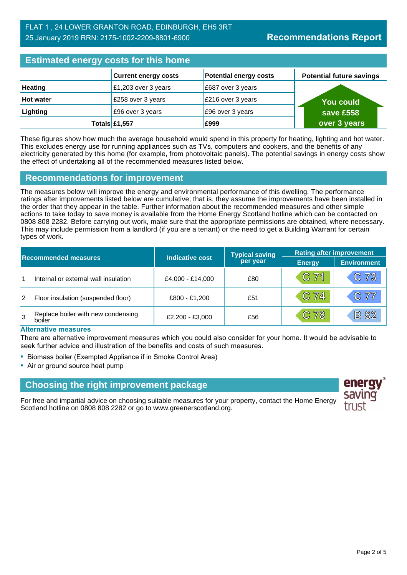# **Estimated energy costs for this home**

| <b>Editional citying accept the figure</b> |                             |                               |                                 |
|--------------------------------------------|-----------------------------|-------------------------------|---------------------------------|
|                                            | <b>Current energy costs</b> | <b>Potential energy costs</b> | <b>Potential future savings</b> |
| <b>Heating</b>                             | £1,203 over 3 years         | £687 over 3 years             |                                 |
| <b>Hot water</b>                           | £258 over 3 years           | £216 over 3 years             | You could \                     |
| Lighting                                   | £96 over 3 years            | £96 over 3 years              | save £558                       |
|                                            | Totals £1,557               | £999                          | over 3 years                    |

These figures show how much the average household would spend in this property for heating, lighting and hot water. This excludes energy use for running appliances such as TVs, computers and cookers, and the benefits of any electricity generated by this home (for example, from photovoltaic panels). The potential savings in energy costs show the effect of undertaking all of the recommended measures listed below.

#### **Recommendations for improvement**

The measures below will improve the energy and environmental performance of this dwelling. The performance ratings after improvements listed below are cumulative; that is, they assume the improvements have been installed in the order that they appear in the table. Further information about the recommended measures and other simple actions to take today to save money is available from the Home Energy Scotland hotline which can be contacted on 0808 808 2282. Before carrying out work, make sure that the appropriate permissions are obtained, where necessary. This may include permission from a landlord (if you are a tenant) or the need to get a Building Warrant for certain types of work.

|   |                                              |                        | <b>Typical saving</b> | <b>Rating after improvement</b> |                    |
|---|----------------------------------------------|------------------------|-----------------------|---------------------------------|--------------------|
|   | <b>Recommended measures</b>                  | <b>Indicative cost</b> | per year              | <b>Energy</b>                   | <b>Environment</b> |
|   | Internal or external wall insulation         | £4,000 - £14,000       | £80                   | $C$ 71                          | C 73               |
| 2 | Floor insulation (suspended floor)           | £800 - £1,200          | £51                   | $C$ 74                          | C77                |
| 3 | Replace boiler with new condensing<br>boiler | £2,200 - £3,000        | £56                   | $C$ 78                          | <b>B</b> 82        |

#### **Alternative measures**

There are alternative improvement measures which you could also consider for your home. It would be advisable to seek further advice and illustration of the benefits and costs of such measures.

- Biomass boiler (Exempted Appliance if in Smoke Control Area)
- Air or ground source heat pump

#### **Choosing the right improvement package**

For free and impartial advice on choosing suitable measures for your property, contact the Home Energy Scotland hotline on 0808 808 2282 or go to www.greenerscotland.org.

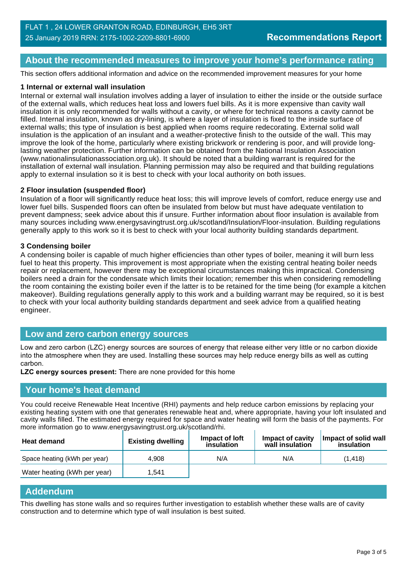#### **About the recommended measures to improve your home's performance rating**

This section offers additional information and advice on the recommended improvement measures for your home

#### **1 Internal or external wall insulation**

Internal or external wall insulation involves adding a layer of insulation to either the inside or the outside surface of the external walls, which reduces heat loss and lowers fuel bills. As it is more expensive than cavity wall insulation it is only recommended for walls without a cavity, or where for technical reasons a cavity cannot be filled. Internal insulation, known as dry-lining, is where a layer of insulation is fixed to the inside surface of external walls; this type of insulation is best applied when rooms require redecorating. External solid wall insulation is the application of an insulant and a weather-protective finish to the outside of the wall. This may improve the look of the home, particularly where existing brickwork or rendering is poor, and will provide longlasting weather protection. Further information can be obtained from the National Insulation Association (www.nationalinsulationassociation.org.uk). It should be noted that a building warrant is required for the installation of external wall insulation. Planning permission may also be required and that building regulations apply to external insulation so it is best to check with your local authority on both issues.

#### **2 Floor insulation (suspended floor)**

Insulation of a floor will significantly reduce heat loss; this will improve levels of comfort, reduce energy use and lower fuel bills. Suspended floors can often be insulated from below but must have adequate ventilation to prevent dampness; seek advice about this if unsure. Further information about floor insulation is available from many sources including www.energysavingtrust.org.uk/scotland/Insulation/Floor-insulation. Building regulations generally apply to this work so it is best to check with your local authority building standards department.

#### **3 Condensing boiler**

A condensing boiler is capable of much higher efficiencies than other types of boiler, meaning it will burn less fuel to heat this property. This improvement is most appropriate when the existing central heating boiler needs repair or replacement, however there may be exceptional circumstances making this impractical. Condensing boilers need a drain for the condensate which limits their location; remember this when considering remodelling the room containing the existing boiler even if the latter is to be retained for the time being (for example a kitchen makeover). Building regulations generally apply to this work and a building warrant may be required, so it is best to check with your local authority building standards department and seek advice from a qualified heating engineer.

#### **Low and zero carbon energy sources**

Low and zero carbon (LZC) energy sources are sources of energy that release either very little or no carbon dioxide into the atmosphere when they are used. Installing these sources may help reduce energy bills as well as cutting carbon.

**LZC energy sources present:** There are none provided for this home

#### **Your home's heat demand**

You could receive Renewable Heat Incentive (RHI) payments and help reduce carbon emissions by replacing your existing heating system with one that generates renewable heat and, where appropriate, having your loft insulated and cavity walls filled. The estimated energy required for space and water heating will form the basis of the payments. For more information go to www.energysavingtrust.org.uk/scotland/rhi.

| <b>Heat demand</b>           | <b>Existing dwelling</b> | Impact of loft<br>insulation | Impact of cavity<br>wall insulation | Impact of solid wall<br>insulation |
|------------------------------|--------------------------|------------------------------|-------------------------------------|------------------------------------|
| Space heating (kWh per year) | 4.908                    | N/A                          | N/A                                 | (1.418)                            |
| Water heating (kWh per year) | 1.541                    |                              |                                     |                                    |

#### **Addendum**

This dwelling has stone walls and so requires further investigation to establish whether these walls are of cavity construction and to determine which type of wall insulation is best suited.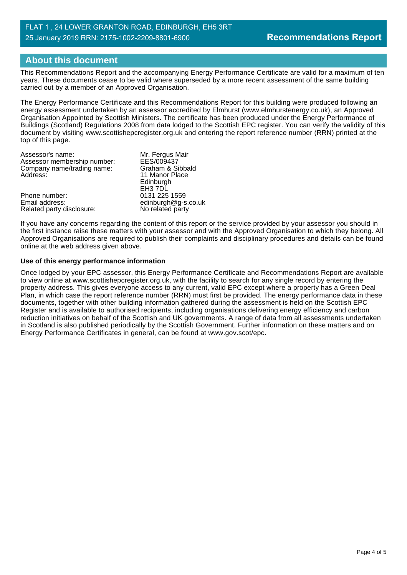#### FLAT 1 , 24 LOWER GRANTON ROAD, EDINBURGH, EH5 3RT 25 January 2019 RRN: 2175-1002-2209-8801-6900

# **About this document**

This Recommendations Report and the accompanying Energy Performance Certificate are valid for a maximum of ten years. These documents cease to be valid where superseded by a more recent assessment of the same building carried out by a member of an Approved Organisation.

The Energy Performance Certificate and this Recommendations Report for this building were produced following an energy assessment undertaken by an assessor accredited by Elmhurst (www.elmhurstenergy.co.uk), an Approved Organisation Appointed by Scottish Ministers. The certificate has been produced under the Energy Performance of Buildings (Scotland) Regulations 2008 from data lodged to the Scottish EPC register. You can verify the validity of this document by visiting www.scottishepcregister.org.uk and entering the report reference number (RRN) printed at the top of this page.

| Mr. Fergus Mair     |
|---------------------|
| EES/009437          |
| Graham & Sibbald    |
| 11 Manor Place      |
| Edinburgh           |
| EH3 7DL             |
| 0131 225 1559       |
| edinburgh@g-s.co.uk |
| No related party    |
|                     |

If you have any concerns regarding the content of this report or the service provided by your assessor you should in the first instance raise these matters with your assessor and with the Approved Organisation to which they belong. All Approved Organisations are required to publish their complaints and disciplinary procedures and details can be found online at the web address given above.

#### **Use of this energy performance information**

Once lodged by your EPC assessor, this Energy Performance Certificate and Recommendations Report are available to view online at www.scottishepcregister.org.uk, with the facility to search for any single record by entering the property address. This gives everyone access to any current, valid EPC except where a property has a Green Deal Plan, in which case the report reference number (RRN) must first be provided. The energy performance data in these documents, together with other building information gathered during the assessment is held on the Scottish EPC Register and is available to authorised recipients, including organisations delivering energy efficiency and carbon reduction initiatives on behalf of the Scottish and UK governments. A range of data from all assessments undertaken in Scotland is also published periodically by the Scottish Government. Further information on these matters and on Energy Performance Certificates in general, can be found at www.gov.scot/epc.